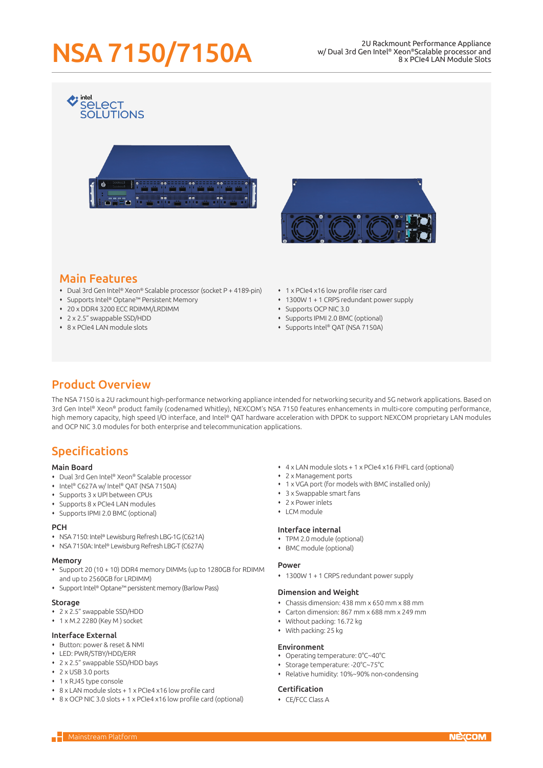# NSA 7150/7150A 2U Rackmount Performance Appliance

w/ Dual 3rd Gen Intel® Xeon®Scalable processor and 8 x PCIe4 LAN Module Slots





# Main Features

 $\leftrightarrow$  intel

**SELECT** 

- Dual 3rd Gen Intel® Xeon® Scalable processor (socket P + 4189-pin)
- Supports Intel® Optane™ Persistent Memory
- 20 x DDR4 3200 ECC RDIMM/LRDIMM
- 2 x 2.5" swappable SSD/HDD
- 8 x PCIe4 LAN module slots
- 1 x PCIe4 x16 low profile riser card
- 1300W 1 + 1 CRPS redundant power supply
- Supports OCP NIC 3.0
- Supports IPMI 2.0 BMC (optional)
- Supports Intel® QAT (NSA 7150A)

## Product Overview

The NSA 7150 is a 2U rackmount high-performance networking appliance intended for networking security and 5G network applications. Based on 3rd Gen Intel® Xeon® product family (codenamed Whitley), NEXCOM's NSA 7150 features enhancements in multi-core computing performance, high memory capacity, high speed I/O interface, and Intel® QAT hardware acceleration with DPDK to support NEXCOM proprietary LAN modules and OCP NIC 3.0 modules for both enterprise and telecommunication applications.

## Specifications

### Main Board

- Dual 3rd Gen Intel® Xeon® Scalable processor
- Intel® C627A w/ Intel® QAT (NSA 7150A)
- Supports 3 x UPI between CPUs
- Supports 8 x PCIe4 LAN modules
- Supports IPMI 2.0 BMC (optional)

#### **PCH**

- NSA 7150: Intel® Lewisburg Refresh LBG-1G (C621A)
- NSA 7150A: Intel® Lewisburg Refresh LBG-T (C627A)

#### Memory

- Support 20 (10 + 10) DDR4 memory DIMMs (up to 1280GB for RDIMM and up to 2560GB for LRDIMM)
- Support Intel® Optane™ persistent memory (Barlow Pass)

#### **Storage**

- 2 x 2.5" swappable SSD/HDD
- 1 x M.2 2280 (Key M) socket

#### Interface External

- Button: power & reset & NMI
- LED: PWR/STBY/HDD/ERR
- 2 x 2.5" swappable SSD/HDD bays
- 2 x USB 3.0 ports
- 1 x RJ45 type console
- 8 x LAN module slots + 1 x PCIe4 x16 low profile card
- 8 x OCP NIC 3.0 slots + 1 x PCIe4 x16 low profile card (optional)
- 4 x LAN module slots + 1 x PCIe4 x16 FHFL card (optional)
- 2 x Management ports
- 1 x VGA port (for models with BMC installed only)
- 3 x Swappable smart fans
- 2 x Power inlets
- $\cdot$  LCM module

## Interface internal

- TPM 2.0 module (optional)
- BMC module (optional)

#### Power

1300W 1 + 1 CRPS redundant power supply

#### Dimension and Weight

- Chassis dimension: 438 mm x 650 mm x 88 mm
- Carton dimension: 867 mm x 688 mm x 249 mm
- Without packing: 16.72 kg
- With packing: 25 kg

#### Environment

- Operating temperature: 0°C~40°C
- Storage temperature: -20°C~75°C
- Relative humidity: 10%~90% non-condensing

#### Certification

CE/FCC Class A